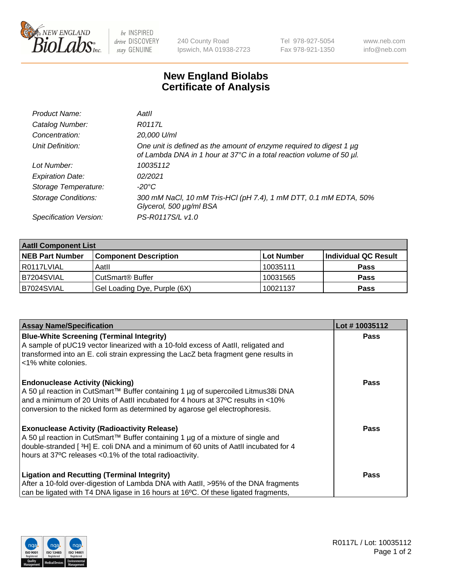

 $be$  INSPIRED drive DISCOVERY stay GENUINE

240 County Road Ipswich, MA 01938-2723 Tel 978-927-5054 Fax 978-921-1350 www.neb.com info@neb.com

## **New England Biolabs Certificate of Analysis**

| Product Name:              | Aatll                                                                                                                                            |
|----------------------------|--------------------------------------------------------------------------------------------------------------------------------------------------|
| Catalog Number:            | R0117L                                                                                                                                           |
| Concentration:             | 20,000 U/ml                                                                                                                                      |
| Unit Definition:           | One unit is defined as the amount of enzyme required to digest 1 $\mu$ g<br>of Lambda DNA in 1 hour at 37°C in a total reaction volume of 50 µl. |
| Lot Number:                | 10035112                                                                                                                                         |
| <b>Expiration Date:</b>    | 02/2021                                                                                                                                          |
| Storage Temperature:       | -20°C                                                                                                                                            |
| <b>Storage Conditions:</b> | 300 mM NaCl, 10 mM Tris-HCl (pH 7.4), 1 mM DTT, 0.1 mM EDTA, 50%<br>Glycerol, 500 µg/ml BSA                                                      |
| Specification Version:     | PS-R0117S/L v1.0                                                                                                                                 |

| <b>Aatll Component List</b> |                              |            |                      |  |  |
|-----------------------------|------------------------------|------------|----------------------|--|--|
| <b>NEB Part Number</b>      | <b>Component Description</b> | Lot Number | Individual QC Result |  |  |
| I R0117LVIAL                | Aatll                        | 10035111   | <b>Pass</b>          |  |  |
| B7204SVIAL                  | CutSmart <sup>®</sup> Buffer | 10031565   | <b>Pass</b>          |  |  |
| B7024SVIAL                  | Gel Loading Dye, Purple (6X) | 10021137   | <b>Pass</b>          |  |  |

| <b>Assay Name/Specification</b>                                                      | Lot #10035112 |
|--------------------------------------------------------------------------------------|---------------|
| <b>Blue-White Screening (Terminal Integrity)</b>                                     | <b>Pass</b>   |
| A sample of pUC19 vector linearized with a 10-fold excess of Aatll, religated and    |               |
| transformed into an E. coli strain expressing the LacZ beta fragment gene results in |               |
| <1% white colonies.                                                                  |               |
| <b>Endonuclease Activity (Nicking)</b>                                               | <b>Pass</b>   |
| A 50 µl reaction in CutSmart™ Buffer containing 1 µg of supercoiled Litmus38i DNA    |               |
| and a minimum of 20 Units of AatII incubated for 4 hours at 37°C results in <10%     |               |
| conversion to the nicked form as determined by agarose gel electrophoresis.          |               |
| <b>Exonuclease Activity (Radioactivity Release)</b>                                  | Pass          |
| A 50 µl reaction in CutSmart™ Buffer containing 1 µg of a mixture of single and      |               |
| double-stranded [3H] E. coli DNA and a minimum of 60 units of Aatll incubated for 4  |               |
| hours at 37°C releases <0.1% of the total radioactivity.                             |               |
| <b>Ligation and Recutting (Terminal Integrity)</b>                                   | Pass          |
| After a 10-fold over-digestion of Lambda DNA with Aatll, >95% of the DNA fragments   |               |
| can be ligated with T4 DNA ligase in 16 hours at 16°C. Of these ligated fragments,   |               |